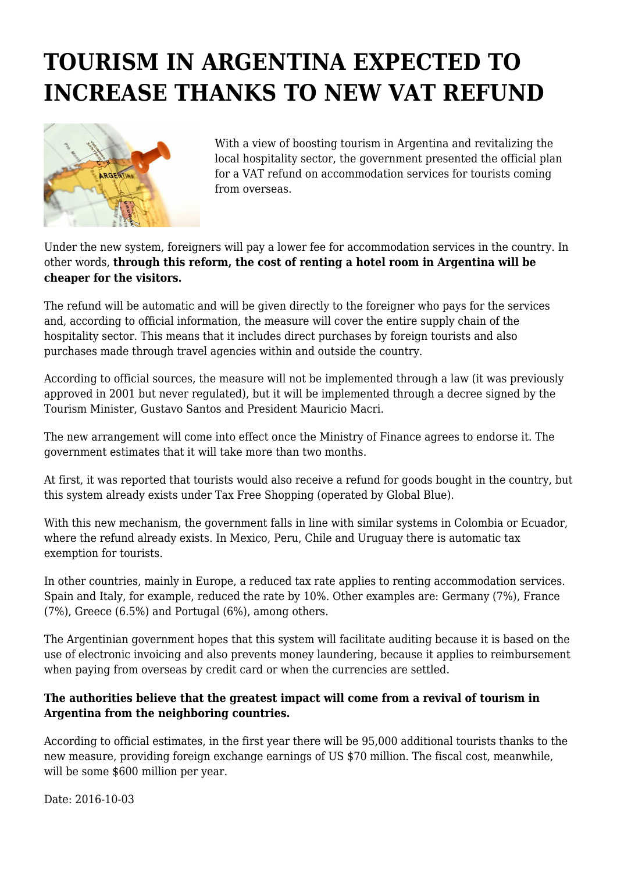## **TOURISM IN ARGENTINA EXPECTED TO INCREASE THANKS TO NEW VAT REFUND**



With a view of boosting tourism in Argentina and revitalizing the local hospitality sector, the government presented the official plan for a VAT refund on accommodation services for tourists coming from overseas.

Under the new system, foreigners will pay a lower fee for accommodation services in the country. In other words, **through this reform, the cost of renting a hotel room in Argentina will be cheaper for the visitors.**

The refund will be automatic and will be given directly to the foreigner who pays for the services and, according to official information, the measure will cover the entire supply chain of the hospitality sector. This means that it includes direct purchases by foreign tourists and also purchases made through travel agencies within and outside the country.

According to official sources, the measure will not be implemented through a law (it was previously approved in 2001 but never regulated), but it will be implemented through a decree signed by the Tourism Minister, Gustavo Santos and President Mauricio Macri.

The new arrangement will come into effect once the Ministry of Finance agrees to endorse it. The government estimates that it will take more than two months.

At first, it was reported that tourists would also receive a refund for goods bought in the country, but this system already exists under Tax Free Shopping (operated by Global Blue).

With this new mechanism, the government falls in line with similar systems in Colombia or Ecuador, where the refund already exists. In Mexico, Peru, Chile and Uruguay there is automatic tax exemption for tourists.

In other countries, mainly in Europe, a reduced tax rate applies to renting accommodation services. Spain and Italy, for example, reduced the rate by 10%. Other examples are: Germany (7%), France (7%), Greece (6.5%) and Portugal (6%), among others.

The Argentinian government hopes that this system will facilitate auditing because it is based on the use of electronic invoicing and also prevents money laundering, because it applies to reimbursement when paying from overseas by credit card or when the currencies are settled.

## **The authorities believe that the greatest impact will come from a revival of tourism in Argentina from the neighboring countries.**

According to official estimates, in the first year there will be 95,000 additional tourists thanks to the new measure, providing foreign exchange earnings of US \$70 million. The fiscal cost, meanwhile, will be some \$600 million per year.

Date: 2016-10-03